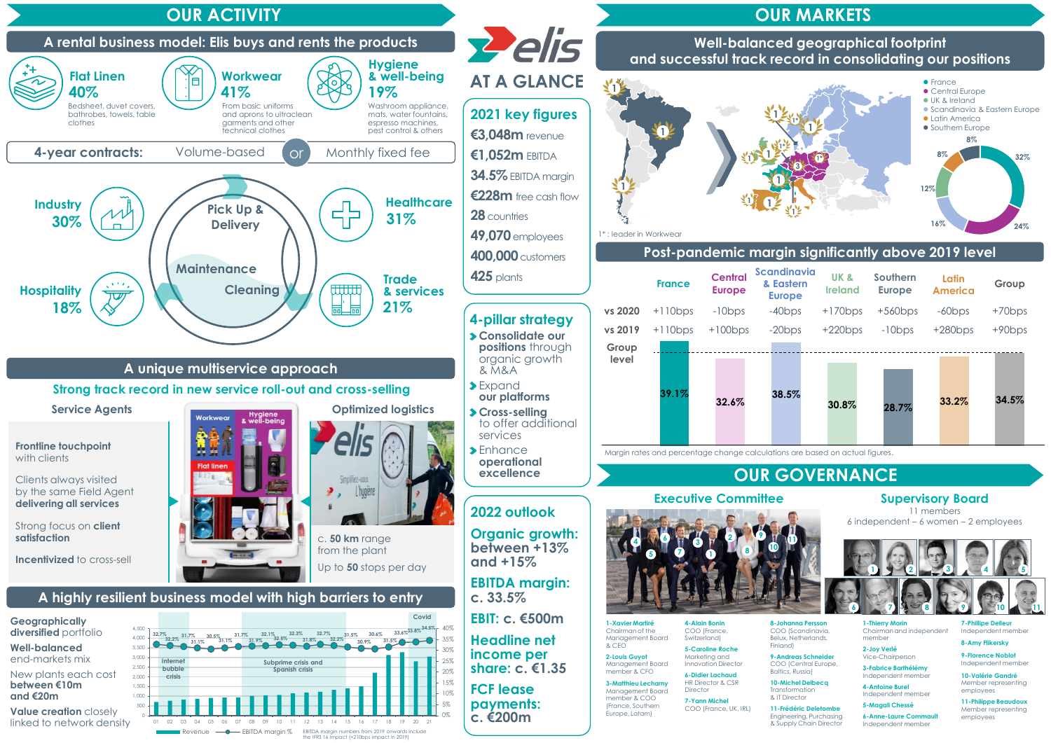